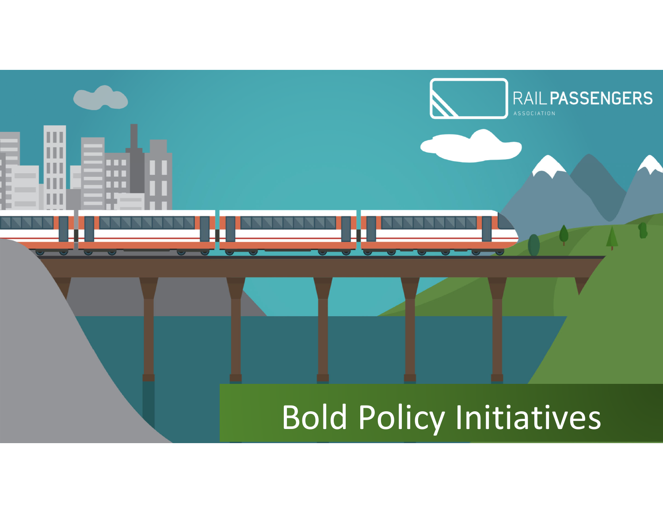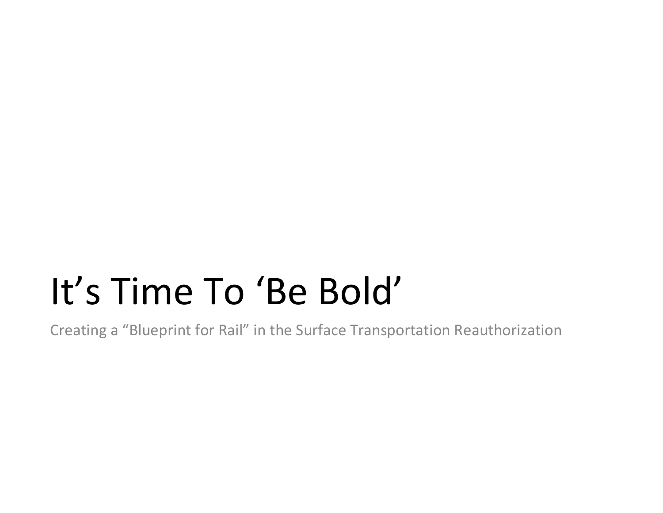# It's Time To 'Be Bold'

Creating a "Blueprint for Rail" in the Surface Transportation Reauthorization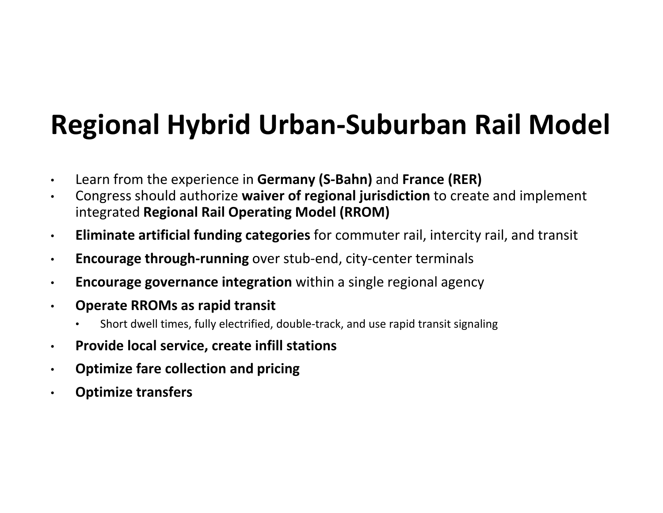## **Regional Hybrid Urban‐Suburban Rail Model**

- •Learn from the experience in **Germany (S‐Bahn)** and **France (RER)**
- • Congress should authorize **waiver of regional jurisdiction** to create and implement integrated **Regional Rail Operating Model (RROM)**
- •**Eliminate artificial funding categories** for commuter rail, intercity rail, and transit
- •**Encourage through‐running** over stub‐end, city‐center terminals
- •**Encourage governance integration** within a single regional agency
- $\bullet$  **Operate RROMs as rapid transit**
	- •Short dwell times, fully electrified, double‐track, and use rapid transit signaling
- •**Provide local service, create infill stations**
- •**Optimize fare collection and pricing**
- •**Optimize transfers**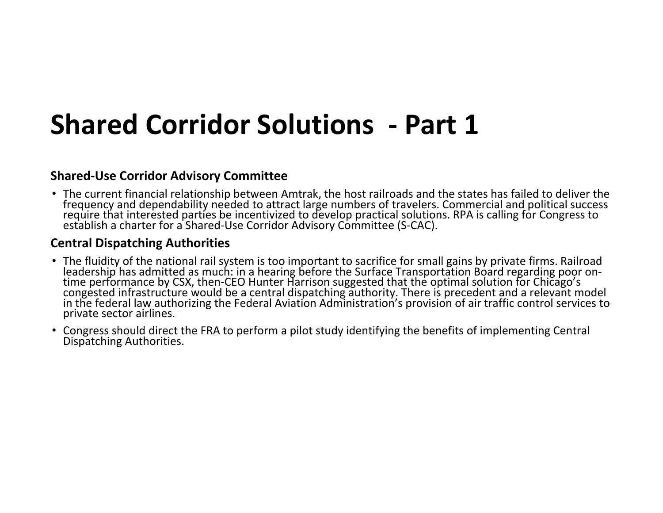### **Shared Corridor Solutions ‐ Part 1**

#### **Shared‐Use Corridor Advisory Committee**

• The current financial relationship between Amtrak, the host railroads and the states has failed to deliver the frequency and dependability needed to attract large numbers of travelers. Commercial and political success require that interested parties be incentivized to develop practical solutions. RPA is calling for Congress to esta

#### **Central Dispatching Authorities**

- The fluidity of the national rail system is too important to sacrifice for small gains by private firms. Railroad leadership has admitted as much: in a hearing before the Surface Transportation Board regarding poor on-<br>time performance by CSX, then-CEO Hunter Harrison suggested that the optimal solution for Chicago's<br>congested infrast
- Congress should direct the FRA to perform a pilot study identifying the benefits of implementing Central Dispatching Authorities.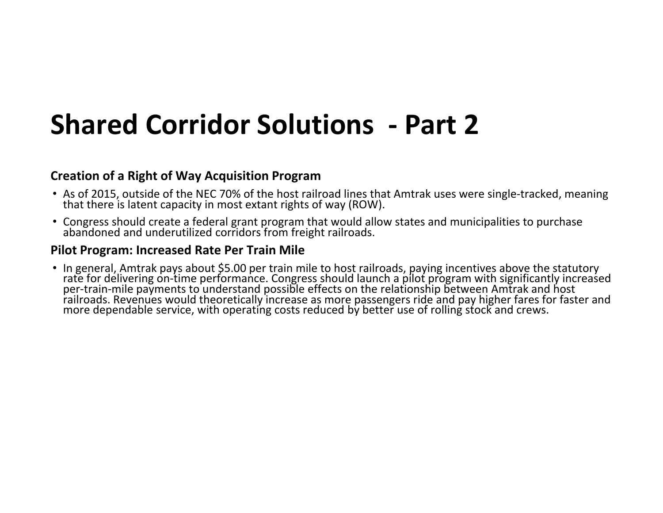### **Shared Corridor Solutions ‐ Part 2**

### **Creation of a Right of Way Acquisition Program**

- As of 2015, outside of the NEC 70% of the host railroad lines that Amtrak uses were single-tracked, meaning<br>that there is latent capacity in most extant rights of way (ROW).
- Congress should create a federal grant program that would allow states and municipalities to purchase abandoned and underutilized corridors from freight railroads.

#### **Pilot Program: Increased Rate Per Train Mile**

• In general, Amtrak pays about \$5.00 per train mile to host railroads, paying incentives above the statutory rate for delivering on-time performance. Congress should launch a pilot program with significantly increased<br>per-train-mile payments to understand possible effects on the relationship between Amtrak and host<br>railroads. Rev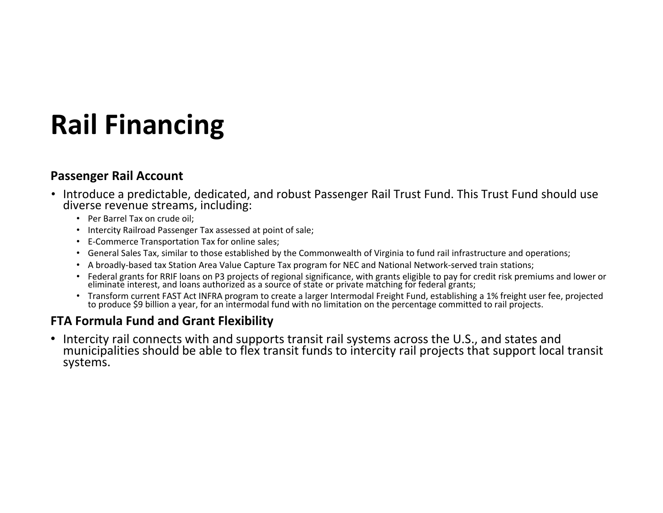### **Rail Financing**

#### **Passenger Rail Account**

- Introduce a predictable, dedicated, and robust Passenger Rail Trust Fund. This Trust Fund should use diverse revenue streams, including:
	- Per Barrel Tax on crude oil;
	- Intercity Railroad Passenger Tax assessed at point of sale;
	- E‐Commerce Transportation Tax for online sales;
	- General Sales Tax, similar to those established by the Commonwealth of Virginia to fund rail infrastructure and operations;
	- A broadly‐based tax Station Area Value Capture Tax program for NEC and National Network‐served train stations;
	- Federal grants for RRIF loans on P3 projects of regional significance, with grants eligible to pay for credit risk premiums and lower or<br>eliminate interest, and loans authorized as a source of state or private matching f
	- Transform current FAST Act INFRA program to create a larger Intermodal Freight Fund, establishing a 1% freight user fee, projected<br>to produce \$9 billion a year, for an intermodal fund with no limitation on the percentage c

### **FTA Formula Fund and Grant Flexibility**

• Intercity rail connects with and supports transit rail systems across the U.S., and states and municipalities should be able to flex transit funds to intercity rail projects that support local transit systems.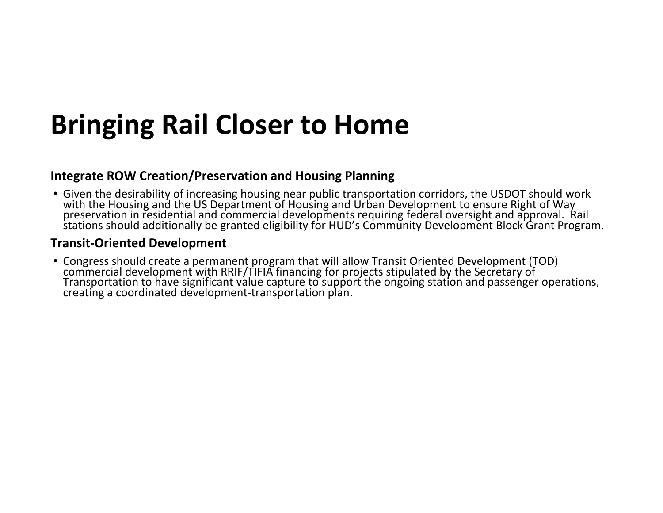### **Bringing Rail Closer to Home**

#### **Integrate ROW Creation/Preservation and Housing Planning**

• Given the desirability of increasing housing near public transportation corridors, the USDOT should work with the Housing and the US Department of Housing and Urban Development to ensure Right of Way<br>preservation in residential and commercial developments requiring federal oversight and approval. Rail<br>stations should addition

#### **Transit‐Oriented Development**

• Congress should create a permanent program that will allow Transit Oriented Development (TOD) commercial development with RRIF/TIFIA financing for projects stipulated by the Secretary of<br>Transportation to have significant value capture to support the ongoing station and passenger operations,<br>creating a coordinated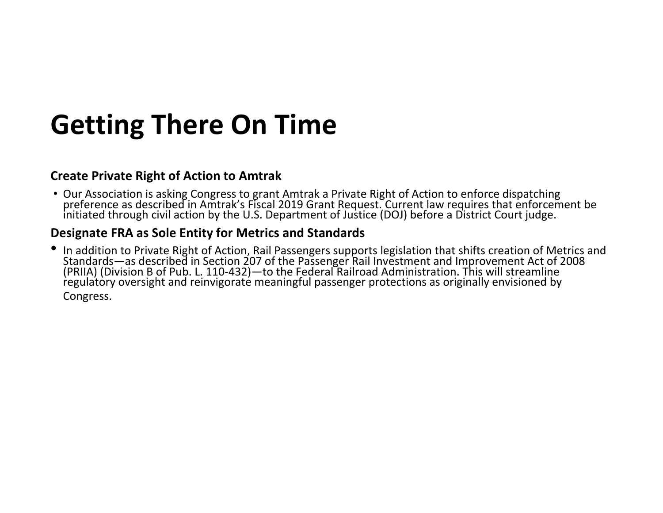### **Getting There On Time**

### **Create Private Right of Action to Amtrak**

• Our Association is asking Congress to grant Amtrak a Private Right of Action to enforce dispatching preference as described in Amtrak's Fiscal 2019 Grant Request. Current law requires that enforcement be initiated through civil action by the U.S. Department of Justice (DOJ) before a District Court judge.

### **Designate FRA as Sole Entity for Metrics and Standards**

•In addition to Private Right of Action, Rail Passengers supports legislation that shifts creation of Metrics and<br>Standards—as described in Section 207 of the Passenger Rail Investment and Improvement Act of 2008<br>(PRIIA) (D Congress.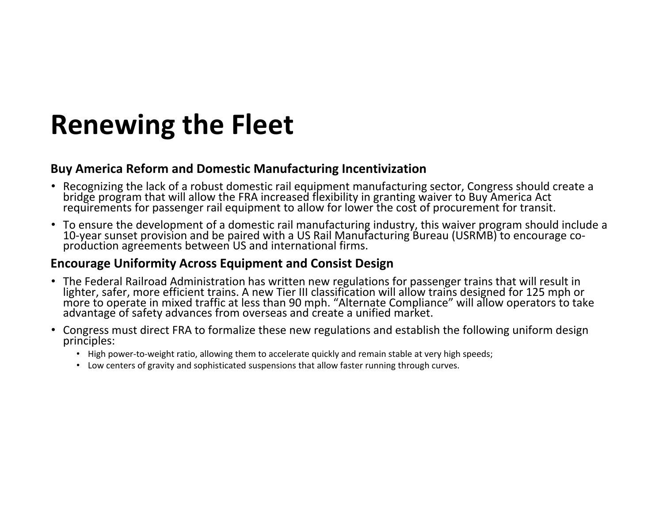### **Renewing the Fleet**

### **Buy America Reform and Domestic Manufacturing Incentivization**

- Recognizing the lack of a robust domestic rail equipment manufacturing sector, Congress should create a<br>bridge program that will allow the FRA increased flexibility in granting waiver to Buy America Act<br>requirements for
- To ensure the development of a domestic rail manufacturing industry, this waiver program should include a 10-year sunset provision and be paired with a US Rail Manufacturing Bureau (USRMB) to encourage co-<br>production agreements between US and international firms.

### **Encourage Uniformity Across Equipment and Consist Design**

- The Federal Railroad Administration has written new regulations for passenger trains that will result in lighter, safer, more efficient trains. A new Tier III classification will allow trains designed for 125 mph or more
- Congress must direct FRA to formalize these new regulations and establish the following uniform design principles:
	- High power‐to‐weight ratio, allowing them to accelerate quickly and remain stable at very high speeds;
	- Low centers of gravity and sophisticated suspensions that allow faster running through curves.